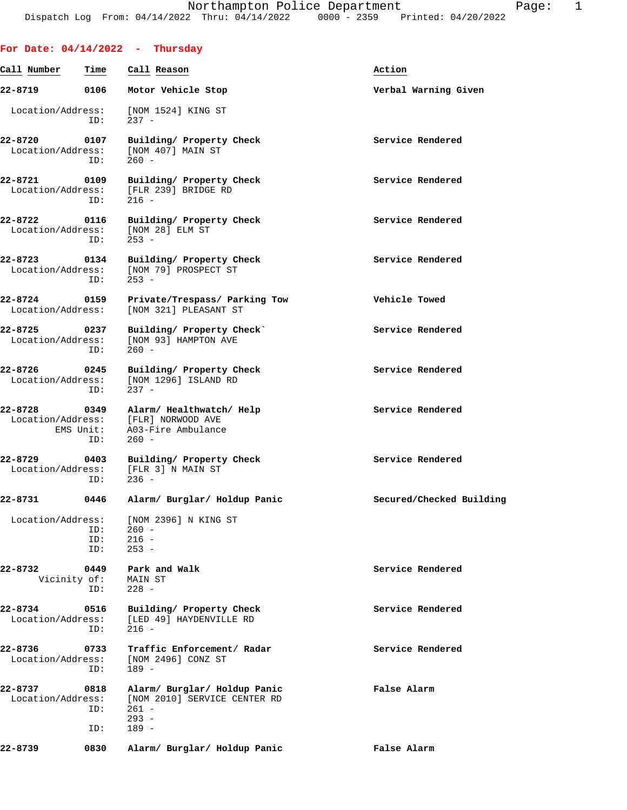|                                   |                             | For Date: $04/14/2022 - Thursday$                                                                |                          |
|-----------------------------------|-----------------------------|--------------------------------------------------------------------------------------------------|--------------------------|
| Call Number                       | Time                        | Call Reason                                                                                      | Action                   |
| 22-8719                           |                             | 0106 Motor Vehicle Stop                                                                          | Verbal Warning Given     |
| Location/Address:                 | ID:                         | [NOM 1524] KING ST<br>$237 -$                                                                    |                          |
| 22-8720                           | 0107<br>ID:                 | Building/ Property Check<br>Location/Address: [NOM 407] MAIN ST<br>$260 -$                       | Service Rendered         |
| 22-8721 0109                      | ID:                         | Building/ Property Check<br>Location/Address: [FLR 239] BRIDGE RD<br>$216 -$                     | Service Rendered         |
| 22-8722 0116                      | ID:                         | Building/ Property Check<br>Location/Address: [NOM 28] ELM ST<br>$253 -$                         | Service Rendered         |
| 22-8723                           | 0134<br>ID:                 | Building/ Property Check<br>Location/Address: [NOM 79] PROSPECT ST<br>$253 -$                    | Service Rendered         |
| 22-8724 0159<br>Location/Address: |                             | Private/Trespass/ Parking Tow<br>[NOM 321] PLEASANT ST                                           | Vehicle Towed            |
| 22-8725 0237                      | ID:                         | Building/ Property Check<br>Location/Address: [NOM 93] HAMPTON AVE<br>$260 -$                    | Service Rendered         |
| 22-8726                           | 0245<br>ID:                 | Building/ Property Check<br>Location/Address: [NOM 1296] ISLAND RD<br>$237 -$                    | Service Rendered         |
| 22-8728                           | 0349<br>EMS Unit:<br>ID:    | Alarm/ Healthwatch/ Help<br>Location/Address: [FLR] NORWOOD AVE<br>A03-Fire Ambulance<br>$260 -$ | Service Rendered         |
| 22-8729 0403                      | ID:                         | Building/ Property Check<br>Location/Address: [FLR 3] N MAIN ST<br>$236 -$                       | Service Rendered         |
| 22-8731                           | 0446                        | Alarm/ Burglar/ Holdup Panic                                                                     | Secured/Checked Building |
|                                   | ID:<br>ID:<br>ID:           | Location/Address: [NOM 2396] N KING ST<br>$260 -$<br>$216 -$<br>$253 -$                          |                          |
| 22-8732                           | 0449<br>Vicinity of:<br>ID: | Park and Walk<br>MAIN ST<br>$228 -$                                                              | Service Rendered         |
| 22-8734<br>Location/Address:      | 0516<br>ID:                 | Building/ Property Check<br>[LED 49] HAYDENVILLE RD<br>$216 -$                                   | Service Rendered         |
| 22-8736<br>Location/Address:      | 0733<br>ID:                 | Traffic Enforcement/ Radar<br>[NOM 2496] CONZ ST<br>$189 -$                                      | Service Rendered         |
| 22-8737<br>Location/Address:      | 0818<br>ID:<br>ID:          | Alarm/ Burglar/ Holdup Panic<br>[NOM 2010] SERVICE CENTER RD<br>$261 -$<br>$293 -$<br>$189 -$    | False Alarm              |
| 22-8739                           | 0830                        | Alarm/ Burglar/ Holdup Panic                                                                     | False Alarm              |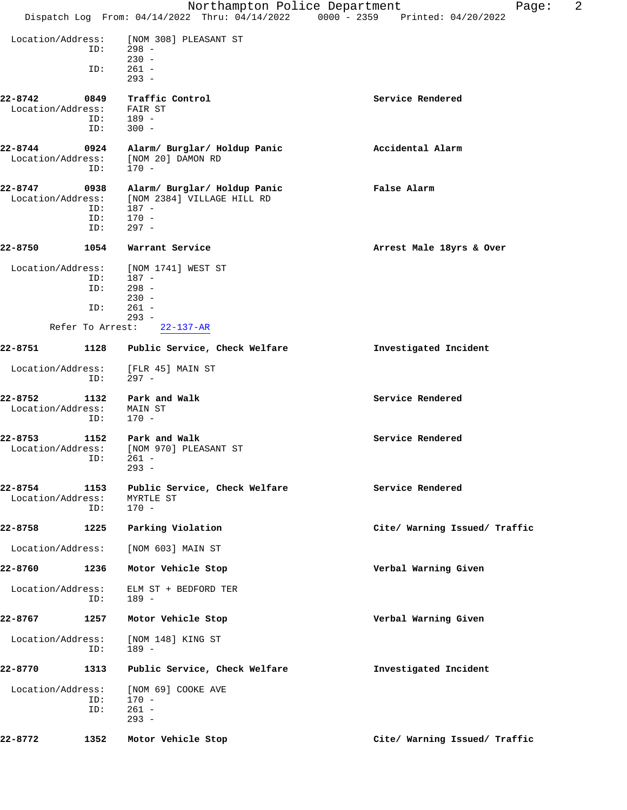|                              |             | Northampton Police Department                                    | 2<br>Page:<br>Dispatch Log From: 04/14/2022 Thru: 04/14/2022 0000 - 2359 Printed: 04/20/2022 |
|------------------------------|-------------|------------------------------------------------------------------|----------------------------------------------------------------------------------------------|
|                              |             |                                                                  |                                                                                              |
| Location/Address:            | ID:         | [NOM 308] PLEASANT ST<br>$298 -$<br>$230 -$                      |                                                                                              |
|                              | ID:         | $261 -$<br>$293 -$                                               |                                                                                              |
| 22-8742                      | 0849        | Traffic Control                                                  | Service Rendered                                                                             |
| Location/Address:            | ID:         | FAIR ST<br>$189 -$                                               |                                                                                              |
|                              | ID:         | $300 -$                                                          |                                                                                              |
| 22-8744                      | 0924        | Alarm/ Burglar/ Holdup Panic                                     | Accidental Alarm                                                                             |
| Location/Address:            | ID:         | [NOM 20] DAMON RD<br>$170 -$                                     |                                                                                              |
| 22-8747                      | 0938        | Alarm/ Burglar/ Holdup Panic                                     | False Alarm                                                                                  |
| Location/Address:            | ID:         | [NOM 2384] VILLAGE HILL RD<br>$187 -$                            |                                                                                              |
|                              | ID:         | $170 -$                                                          |                                                                                              |
|                              | ID:         | $297 -$                                                          |                                                                                              |
| 22-8750                      | 1054        | Warrant Service                                                  | Arrest Male 18yrs & Over                                                                     |
| Location/Address:            | ID:         | [NOM 1741] WEST ST<br>$187 -$                                    |                                                                                              |
|                              | ID:         | $298 -$                                                          |                                                                                              |
|                              |             | $230 -$                                                          |                                                                                              |
|                              | ID:         | $261 -$<br>$293 -$                                               |                                                                                              |
|                              |             | Refer To Arrest:<br>$22 - 137 - AR$                              |                                                                                              |
| 22-8751                      | 1128        | Public Service, Check Welfare                                    | Investigated Incident                                                                        |
| Location/Address:            | ID:         | [FLR 45] MAIN ST<br>$297 -$                                      |                                                                                              |
| 22-8752<br>Location/Address: | 1132<br>ID: | Park and Walk<br>MAIN ST<br>170 -                                | Service Rendered                                                                             |
| 22-8753<br>Location/Address: | 1152        | Park and Walk<br>[NOM 970] PLEASANT ST<br>$ID: 261 -$<br>$293 -$ | Service Rendered                                                                             |
| 22-8754<br>Location/Address: | 1153<br>ID: | Public Service, Check Welfare<br>MYRTLE ST<br>$170 -$            | Service Rendered                                                                             |
| 22-8758                      | 1225        | Parking Violation                                                | Cite/ Warning Issued/ Traffic                                                                |
| Location/Address:            |             | [NOM 603] MAIN ST                                                |                                                                                              |
| 22-8760                      | 1236        | Motor Vehicle Stop                                               | Verbal Warning Given                                                                         |
| Location/Address:            | ID:         | ELM ST + BEDFORD TER<br>$189 -$                                  |                                                                                              |
| 22-8767                      | 1257        | Motor Vehicle Stop                                               | Verbal Warning Given                                                                         |
| Location/Address:            | ID:         | [NOM 148] KING ST<br>189 -                                       |                                                                                              |
| 22-8770                      | 1313        | Public Service, Check Welfare                                    | Investigated Incident                                                                        |
| Location/Address:            | ID:<br>ID:  | [NOM 69] COOKE AVE<br>$170 -$<br>$261 -$<br>$293 -$              |                                                                                              |
| 22-8772                      | 1352        | Motor Vehicle Stop                                               | Cite/ Warning Issued/ Traffic                                                                |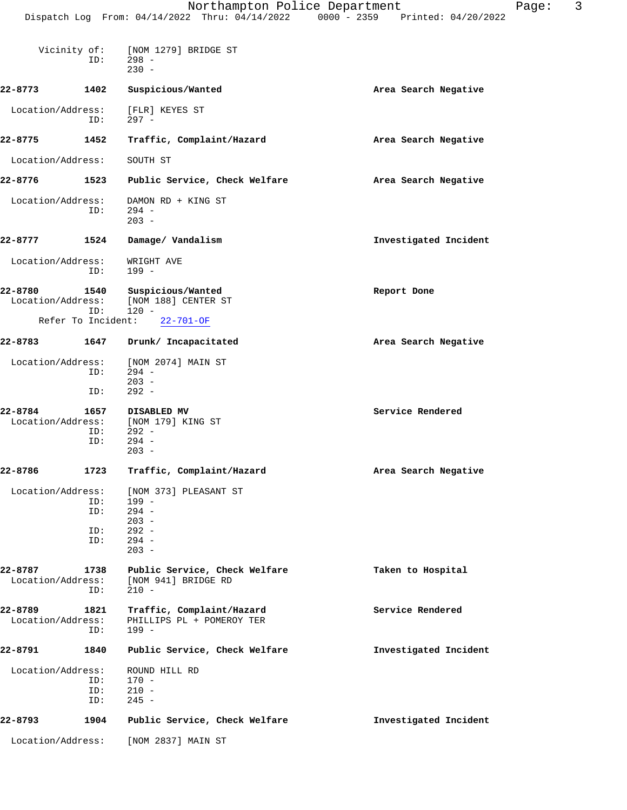|                              |                          | Northampton Police Department<br>Dispatch Log From: 04/14/2022 Thru: 04/14/2022 0000 - 2359 Printed: 04/20/2022 |                       | Page: | 3 |
|------------------------------|--------------------------|-----------------------------------------------------------------------------------------------------------------|-----------------------|-------|---|
| Vicinity of:                 | ID:                      | [NOM 1279] BRIDGE ST<br>$298 -$<br>$230 -$                                                                      |                       |       |   |
| 22-8773                      | 1402                     | Suspicious/Wanted                                                                                               | Area Search Negative  |       |   |
| Location/Address:            | ID:                      | [FLR] KEYES ST<br>$297 -$                                                                                       |                       |       |   |
| 22-8775                      | 1452                     | Traffic, Complaint/Hazard                                                                                       | Area Search Negative  |       |   |
| Location/Address:            |                          | SOUTH ST                                                                                                        |                       |       |   |
| 22-8776                      | 1523                     | Public Service, Check Welfare                                                                                   | Area Search Negative  |       |   |
| Location/Address:            | ID:                      | DAMON RD + KING ST<br>$294 -$<br>$203 -$                                                                        |                       |       |   |
| 22-8777                      | 1524                     | Damage/ Vandalism                                                                                               | Investigated Incident |       |   |
| Location/Address:            | ID:                      | WRIGHT AVE<br>$199 -$                                                                                           |                       |       |   |
| 22-8780<br>Location/Address: | 1540<br>ID:              | Suspicious/Wanted<br>[NOM 188] CENTER ST<br>$120 -$                                                             | Report Done           |       |   |
| Refer To Incident:           |                          | $22 - 701 - OF$                                                                                                 |                       |       |   |
| 22-8783                      | 1647                     | Drunk/ Incapacitated                                                                                            | Area Search Negative  |       |   |
| Location/Address:            | ID:<br>ID:               | [NOM 2074] MAIN ST<br>$294 -$<br>$203 -$<br>$292 -$                                                             |                       |       |   |
| 22-8784<br>Location/Address: | 1657<br>ID:<br>ID:       | DISABLED MV<br>[NOM 179] KING ST<br>$292 -$<br>$294 -$<br>$203 -$                                               | Service Rendered      |       |   |
| 22-8786                      | 1723                     | Traffic, Complaint/Hazard                                                                                       | Area Search Negative  |       |   |
| Location/Address:            | ID:<br>ID:<br>ID:<br>ID: | [NOM 373] PLEASANT ST<br>$199 -$<br>$294 -$<br>$203 -$<br>$292 -$<br>$294 -$<br>$203 -$                         |                       |       |   |
| 22-8787<br>Location/Address: | 1738<br>ID:              | Public Service, Check Welfare<br>[NOM 941] BRIDGE RD<br>$210 -$                                                 | Taken to Hospital     |       |   |
| 22-8789<br>Location/Address: | 1821<br>ID:              | Traffic, Complaint/Hazard<br>PHILLIPS PL + POMEROY TER<br>$199 -$                                               | Service Rendered      |       |   |
| 22-8791                      | 1840                     | Public Service, Check Welfare                                                                                   | Investigated Incident |       |   |
| Location/Address:            | ID:<br>ID:<br>ID:        | ROUND HILL RD<br>$170 -$<br>$210 -$<br>$245 -$                                                                  |                       |       |   |
| 22-8793                      | 1904                     | Public Service, Check Welfare                                                                                   | Investigated Incident |       |   |
| Location/Address:            |                          | [NOM 2837] MAIN ST                                                                                              |                       |       |   |